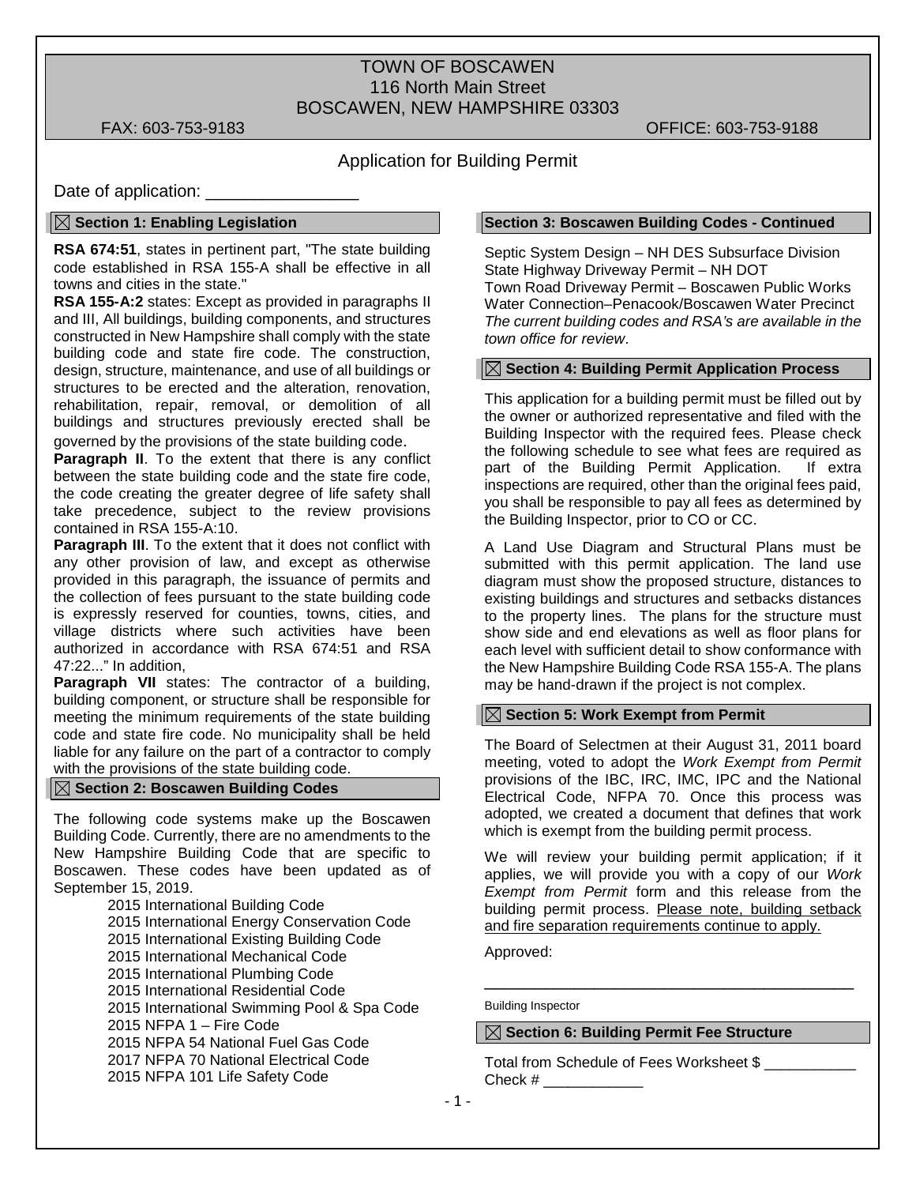# TOWN OF BOSCAWEN 116 North Main Street BOSCAWEN, NEW HAMPSHIRE 03303

FAX: 603-753-9183 OFFICE: 603-753-9188

# Application for Building Permit

Date of application:

# **Section 1: Enabling Legislation**

**RSA 674:51**, states in pertinent part, "The state building code established in RSA 155-A shall be effective in all towns and cities in the state."

**RSA 155-A:2** states: Except as provided in paragraphs II and III, All buildings, building components, and structures constructed in New Hampshire shall comply with the state building code and state fire code. The construction, design, structure, maintenance, and use of all buildings or structures to be erected and the alteration, renovation, rehabilitation, repair, removal, or demolition of all buildings and structures previously erected shall be governed by the provisions of the state building code.

**Paragraph II**. To the extent that there is any conflict between the state building code and the state fire code, the code creating the greater degree of life safety shall take precedence, subject to the review provisions contained in RSA 155-A:10.

**Paragraph III**. To the extent that it does not conflict with any other provision of law, and except as otherwise provided in this paragraph, the issuance of permits and the collection of fees pursuant to the state building code is expressly reserved for counties, towns, cities, and village districts where such activities have been authorized in accordance with RSA 674:51 and RSA 47:22..." In addition,

**Paragraph VII** states: The contractor of a building, building component, or structure shall be responsible for meeting the minimum requirements of the state building code and state fire code. No municipality shall be held liable for any failure on the part of a contractor to comply with the provisions of the state building code.

## **Section 2: Boscawen Building Codes**

The following code systems make up the Boscawen Building Code. Currently, there are no amendments to the New Hampshire Building Code that are specific to Boscawen. These codes have been updated as of September 15, 2019.

 International Building Code International Energy Conservation Code International Existing Building Code International Mechanical Code International Plumbing Code International Residential Code 2015 International Swimming Pool & Spa Code NFPA 1 – Fire Code NFPA 54 National Fuel Gas Code NFPA 70 National Electrical Code NFPA 101 Life Safety Code

#### **Section 3: Boscawen Building Codes - Continued**

Septic System Design – NH DES Subsurface Division State Highway Driveway Permit – NH DOT Town Road Driveway Permit – Boscawen Public Works Water Connection–Penacook/Boscawen Water Precinct *The current building codes and RSA's are available in the town office for review*.

# **Section 4: Building Permit Application Process**

This application for a building permit must be filled out by the owner or authorized representative and filed with the Building Inspector with the required fees. Please check the following schedule to see what fees are required as part of the Building Permit Application. If extra inspections are required, other than the original fees paid, you shall be responsible to pay all fees as determined by the Building Inspector, prior to CO or CC.

A Land Use Diagram and Structural Plans must be submitted with this permit application. The land use diagram must show the proposed structure, distances to existing buildings and structures and setbacks distances to the property lines. The plans for the structure must show side and end elevations as well as floor plans for each level with sufficient detail to show conformance with the New Hampshire Building Code RSA 155-A. The plans may be hand-drawn if the project is not complex.

#### **Section 5: Work Exempt from Permit**

The Board of Selectmen at their August 31, 2011 board meeting, voted to adopt the *Work Exempt from Permit* provisions of the IBC, IRC, IMC, IPC and the National Electrical Code, NFPA 70. Once this process was adopted, we created a document that defines that work which is exempt from the building permit process.

We will review your building permit application; if it applies, we will provide you with a copy of our *Work Exempt from Permit* form and this release from the building permit process. Please note, building setback and fire separation requirements continue to apply.

\_\_\_\_\_\_\_\_\_\_\_\_\_\_\_\_\_\_\_\_\_\_\_\_\_\_\_\_\_\_\_\_\_\_\_\_\_

Approved:

Building Inspector

# **Section 6: Building Permit Fee Structure**

Total from Schedule of Fees Worksheet \$ \_\_\_\_\_\_\_\_\_\_\_ Check # \_\_\_\_\_\_\_\_\_\_\_\_\_\_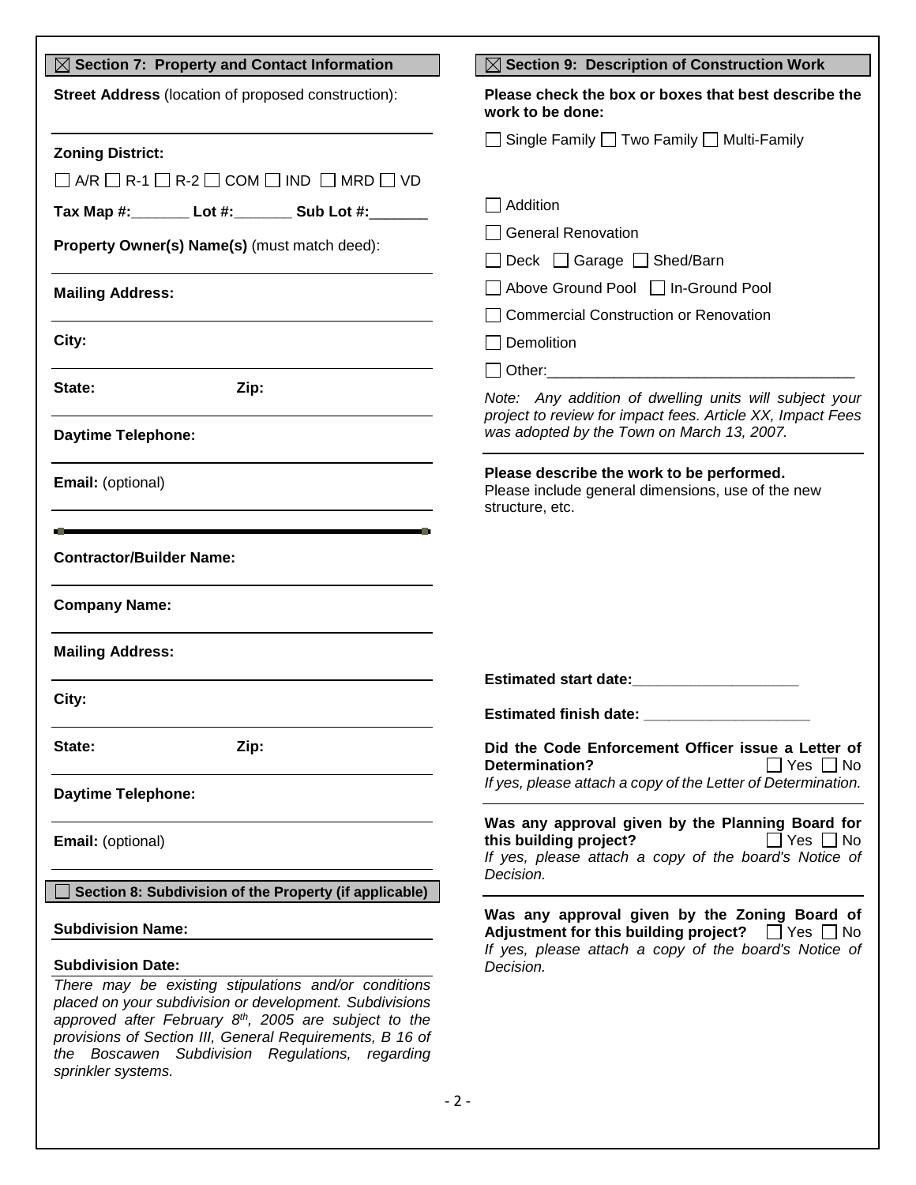| $\boxtimes$ Section 7: Property and Contact Information                                                                                                                                                                                                                                      | $\boxtimes$ Section 9: Description of Construction Work                                                                                                              |  |
|----------------------------------------------------------------------------------------------------------------------------------------------------------------------------------------------------------------------------------------------------------------------------------------------|----------------------------------------------------------------------------------------------------------------------------------------------------------------------|--|
| <b>Street Address</b> (location of proposed construction):                                                                                                                                                                                                                                   | Please check the box or boxes that best describe the<br>work to be done:                                                                                             |  |
| <b>Zoning District:</b>                                                                                                                                                                                                                                                                      | □ Single Family □ Two Family □ Multi-Family                                                                                                                          |  |
| $\Box$ A/R $\Box$ R-1 $\Box$ R-2 $\Box$ COM $\Box$ IND $\Box$ MRD $\Box$ VD                                                                                                                                                                                                                  |                                                                                                                                                                      |  |
| Tax Map #: Lot #: _______ Sub Lot #: ______                                                                                                                                                                                                                                                  | $\Box$ Addition                                                                                                                                                      |  |
|                                                                                                                                                                                                                                                                                              | □ General Renovation                                                                                                                                                 |  |
| Property Owner(s) Name(s) (must match deed):                                                                                                                                                                                                                                                 | □ Deck □ Garage □ Shed/Barn                                                                                                                                          |  |
| <b>Mailing Address:</b>                                                                                                                                                                                                                                                                      | □ Above Ground Pool □ In-Ground Pool                                                                                                                                 |  |
| the control of the control of the control of the control of the control of the control of the control of the control of the control of the control of the control of the control of the control of the control of the control                                                                | Commercial Construction or Renovation                                                                                                                                |  |
| City:                                                                                                                                                                                                                                                                                        | $\Box$ Demolition                                                                                                                                                    |  |
|                                                                                                                                                                                                                                                                                              |                                                                                                                                                                      |  |
| State:<br>Zip:                                                                                                                                                                                                                                                                               | Note: Any addition of dwelling units will subject your<br>project to review for impact fees. Article XX, Impact Fees                                                 |  |
| <b>Daytime Telephone:</b>                                                                                                                                                                                                                                                                    | was adopted by the Town on March 13, 2007.                                                                                                                           |  |
| Email: (optional)<br><u> 1980 - Johann Barn, mars an t-Amerikaansk politiker (</u>                                                                                                                                                                                                           | Please describe the work to be performed.<br>Please include general dimensions, use of the new<br>structure, etc.                                                    |  |
| <b>Contractor/Builder Name:</b><br><b>Company Name:</b><br><b>Mailing Address:</b>                                                                                                                                                                                                           |                                                                                                                                                                      |  |
|                                                                                                                                                                                                                                                                                              |                                                                                                                                                                      |  |
| City:                                                                                                                                                                                                                                                                                        | <b>Estimated finish date:</b>                                                                                                                                        |  |
| State:<br>Zip:                                                                                                                                                                                                                                                                               | Did the Code Enforcement Officer issue a Letter of<br><b>Determination?</b><br>  Yes     No                                                                          |  |
| Daytime Telephone:                                                                                                                                                                                                                                                                           | If yes, please attach a copy of the Letter of Determination.                                                                                                         |  |
| Email: (optional)                                                                                                                                                                                                                                                                            | Was any approval given by the Planning Board for<br>this building project?<br>  Yes     No<br>If yes, please attach a copy of the board's Notice of<br>Decision.     |  |
| Section 8: Subdivision of the Property (if applicable)                                                                                                                                                                                                                                       |                                                                                                                                                                      |  |
| <b>Subdivision Name:</b>                                                                                                                                                                                                                                                                     | Was any approval given by the Zoning Board of<br>Adjustment for this building project? $\Box$ Yes $\Box$ No<br>If yes, please attach a copy of the board's Notice of |  |
| <b>Subdivision Date:</b>                                                                                                                                                                                                                                                                     | Decision.                                                                                                                                                            |  |
| There may be existing stipulations and/or conditions<br>placed on your subdivision or development. Subdivisions<br>approved after February $8th$ , 2005 are subject to the<br>provisions of Section III, General Requirements, B 16 of<br>Boscawen Subdivision Regulations, regarding<br>the |                                                                                                                                                                      |  |

*sprinkler systems.*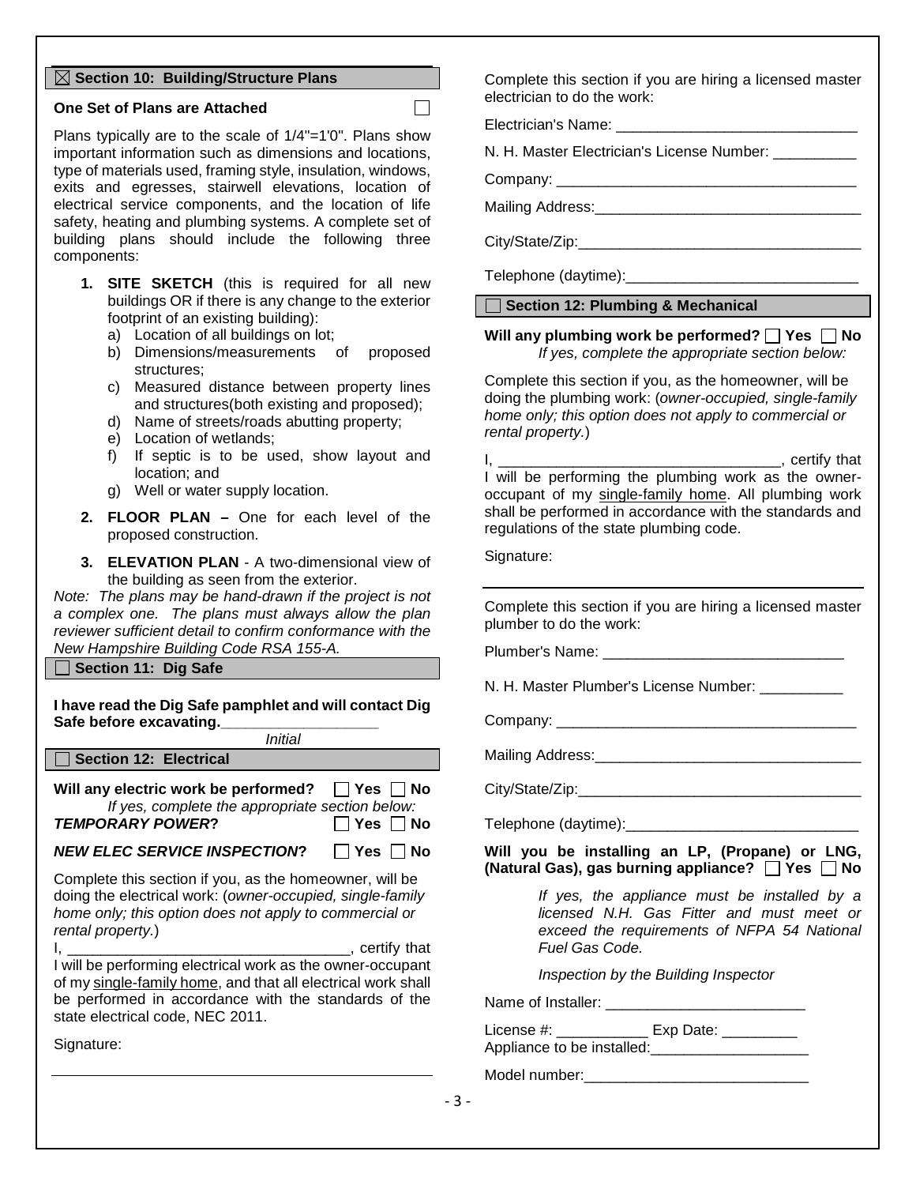# **Section 10: Building/Structure Plans**

# **One Set of Plans are Attached**

Plans typically are to the scale of 1/4"=1'0". Plans show important information such as dimensions and locations, type of materials used, framing style, insulation, windows, exits and egresses, stairwell elevations, location of electrical service components, and the location of life safety, heating and plumbing systems. A complete set of building plans should include the following three components:

- **1. SITE SKETCH** (this is required for all new buildings OR if there is any change to the exterior footprint of an existing building):
	- a) Location of all buildings on lot;
	- b) Dimensions/measurements of proposed structures;
	- c) Measured distance between property lines and structures(both existing and proposed);
	- d) Name of streets/roads abutting property;
	- e) Location of wetlands;
	- f) If septic is to be used, show layout and location; and
	- g) Well or water supply location.
- **2. FLOOR PLAN –** One for each level of the proposed construction.
- **3. ELEVATION PLAN** A two-dimensional view of the building as seen from the exterior.

*Note: The plans may be hand-drawn if the project is not a complex one. The plans must always allow the plan reviewer sufficient detail to confirm conformance with the New Hampshire Building Code RSA 155-A.*

**Section 11: Dig Safe**

**I have read the Dig Safe pamphlet and will contact Dig**  Safe before excavating.

*Initial* Section 12: Electrical

**Will any electric work be performed?** □ Yes □ No *If yes, complete the appropriate section below:* **TEMPORARY POWER?** ◯ Yes No

# *NEW ELEC SERVICE INSPECTION*? □ Yes □ No

Complete this section if you, as the homeowner, will be doing the electrical work: (*owner-occupied, single-family home only; this option does not apply to commercial or rental property.*)

 $I,$ I will be performing electrical work as the owner-occupant of my single-family home, and that all electrical work shall be performed in accordance with the standards of the state electrical code, NEC 2011.

Signature:

Complete this section if you are hiring a licensed master electrician to do the work:

Electrician's Name:

N. H. Master Electrician's License Number:

Company: \_\_\_\_\_\_\_\_\_\_\_\_\_\_\_\_\_\_\_\_\_\_\_\_\_\_\_\_\_\_\_\_\_\_\_\_

 $\Box$ 

Mailing Address:

City/State/Zip:

Telephone (daytime):

**Section 12: Plumbing & Mechanical**

**Will any plumbing work be performed? Yes No** *If yes, complete the appropriate section below:*

Complete this section if you, as the homeowner, will be doing the plumbing work: (*owner-occupied, single-family home only; this option does not apply to commercial or rental property.*)

I, \_\_\_\_\_\_\_\_\_\_\_\_\_\_\_\_\_\_\_\_\_\_\_\_\_\_\_\_\_\_\_\_\_\_, certify that I will be performing the plumbing work as the owneroccupant of my single-family home. All plumbing work shall be performed in accordance with the standards and regulations of the state plumbing code.

Signature:

Complete this section if you are hiring a licensed master plumber to do the work:

Plumber's Name: \_\_\_\_\_\_\_\_\_\_\_\_\_\_\_\_\_\_\_\_\_\_\_\_\_\_\_\_\_

N. H. Master Plumber's License Number:

Company: \_\_\_\_\_\_\_\_\_\_\_\_\_\_\_\_\_\_\_\_\_\_\_\_\_\_\_\_\_\_\_\_\_\_\_\_

Mailing Address:\_\_\_\_\_\_\_\_\_\_\_\_\_\_\_\_\_\_\_\_\_\_\_\_\_\_\_\_\_\_\_\_

City/State/Zip:

Telephone (daytime):

**Will you be installing an LP, (Propane) or LNG, (Natural Gas), gas burning appliance? Yes No**

> *If yes, the appliance must be installed by a licensed N.H. Gas Fitter and must meet or exceed the requirements of NFPA 54 National Fuel Gas Code.*

*Inspection by the Building Inspector*

Name of Installer:

License #: \_\_\_\_\_\_\_\_\_\_\_\_\_\_ Exp Date: Appliance to be installed:\_\_\_\_\_\_\_\_\_\_\_\_\_\_\_\_\_\_\_

Model number:\_\_\_\_\_\_\_\_\_\_\_\_\_\_\_\_\_\_\_\_\_\_\_\_\_\_\_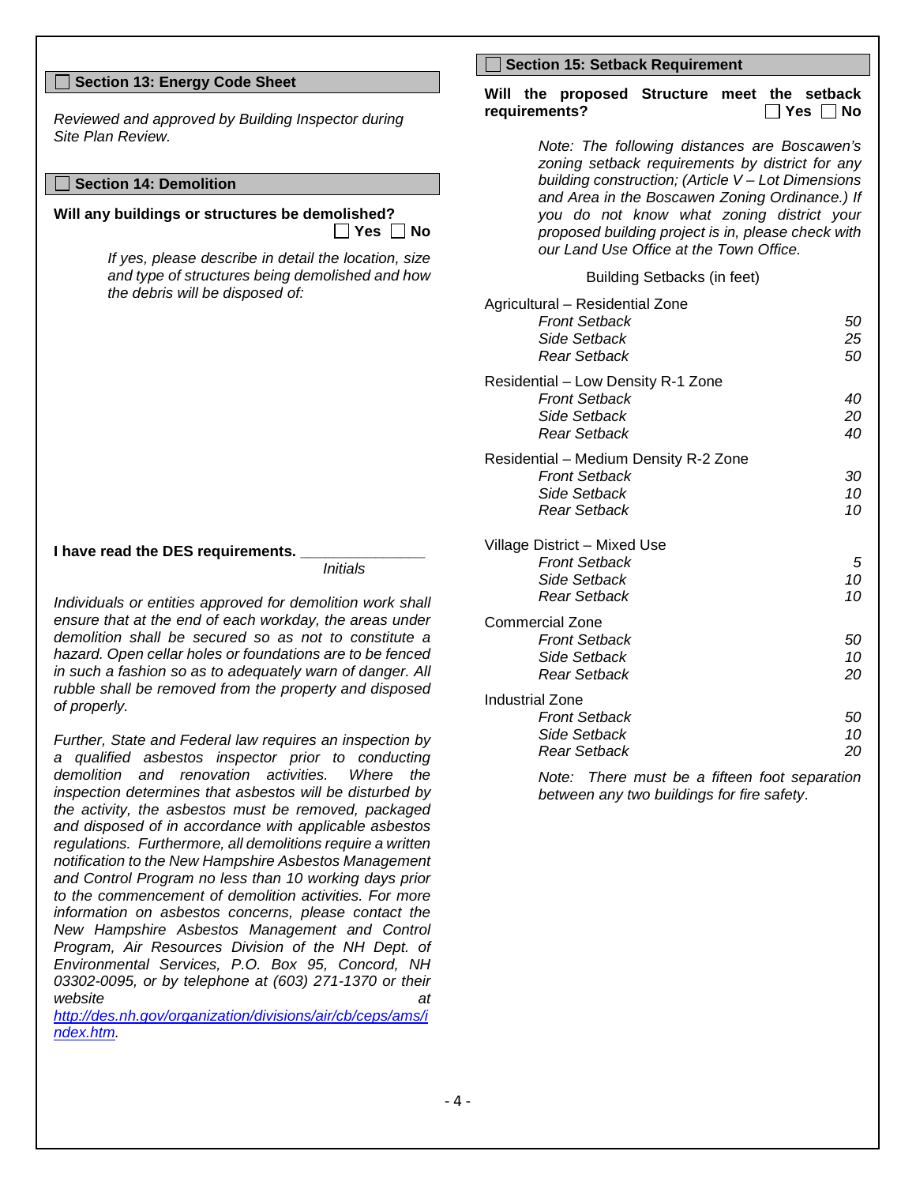## **Section 13: Energy Code Sheet**

*Reviewed and approved by Building Inspector during Site Plan Review.*

## **Section 14: Demolition**

**Will any buildings or structures be demolished? Yes No**

> *If yes, please describe in detail the location, size and type of structures being demolished and how the debris will be disposed of:*

**I have read the DES requirements.** 

*Initials*

*Individuals or entities approved for demolition work shall ensure that at the end of each workday, the areas under demolition shall be secured so as not to constitute a hazard. Open cellar holes or foundations are to be fenced in such a fashion so as to adequately warn of danger. All rubble shall be removed from the property and disposed of properly.*

*Further, State and Federal law requires an inspection by a qualified asbestos inspector prior to conducting demolition and renovation activities. Where the inspection determines that asbestos will be disturbed by the activity, the asbestos must be removed, packaged and disposed of in accordance with applicable asbestos regulations. Furthermore, all demolitions require a written notification to the New Hampshire Asbestos Management and Control Program no less than 10 working days prior to the commencement of demolition activities. For more information on asbestos concerns, please contact the New Hampshire Asbestos Management and Control Program, Air Resources Division of the NH Dept. of Environmental Services, P.O. Box 95, Concord, NH 03302-0095, or by telephone at (603) 271-1370 or their website at* 

*[http://des.nh.gov/organization/divisions/air/cb/ceps/ams/i](http://des.nh.gov/organization/divisions/air/cb/ceps/ams/index.htm) [ndex.htm.](http://des.nh.gov/organization/divisions/air/cb/ceps/ams/index.htm)* 

#### **Section 15: Setback Requirement**

#### **Will the proposed Structure meet the setback**   $requirements?$

*Note: The following distances are Boscawen's zoning setback requirements by district for any building construction; (Article V – Lot Dimensions and Area in the Boscawen Zoning Ordinance.) If you do not know what zoning district your proposed building project is in, please check with our Land Use Office at the Town Office.*

Building Setbacks (in feet)

| Agricultural - Residential Zone<br><b>Front Setback</b> | 50 |
|---------------------------------------------------------|----|
| Side Setback                                            | 25 |
|                                                         |    |
| Rear Setback                                            | 50 |
| Residential - Low Density R-1 Zone                      |    |
| <b>Front Setback</b>                                    | 40 |
| Side Setback                                            | 20 |
| <b>Rear Setback</b>                                     | 40 |
| Residential - Medium Density R-2 Zone                   |    |
| <b>Front Setback</b>                                    | 30 |
| Side Setback                                            | 10 |
| Rear Setback                                            | 10 |
|                                                         |    |
| Village District - Mixed Use                            |    |
| <b>Front Setback</b>                                    | 5  |
| Side Setback                                            | 10 |
| Rear Setback                                            | 10 |
| Commercial Zone                                         |    |
| <b>Front Setback</b>                                    | 50 |
| Side Setback                                            | 10 |
|                                                         |    |
| Rear Setback                                            | 20 |
| Industrial Zone                                         |    |
| <b>Front Setback</b>                                    | 50 |
| Side Setback                                            | 10 |
| Rear Setback                                            | 20 |
|                                                         |    |

*Note: There must be a fifteen foot separation between any two buildings for fire safety*.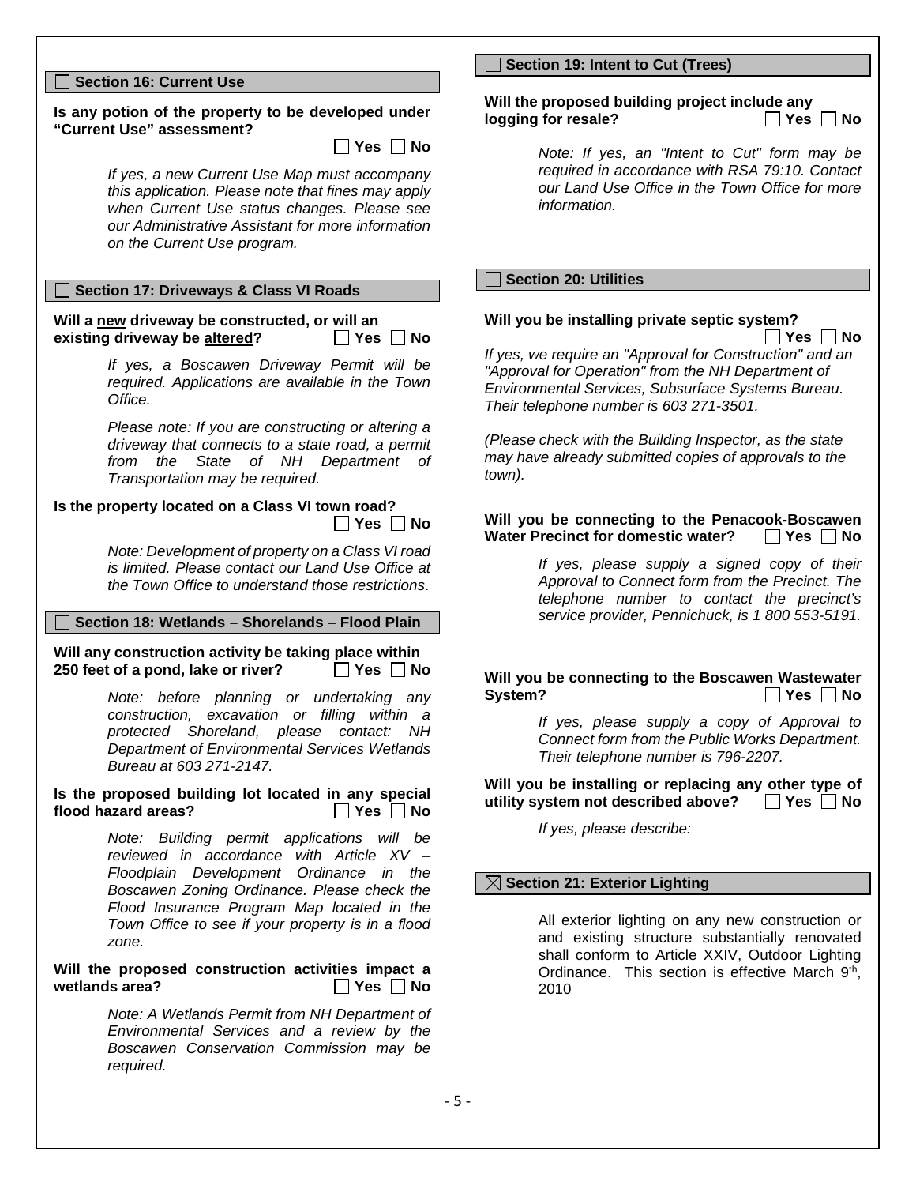## **Section 16: Current Use**

#### **Is any potion of the property to be developed under "Current Use" assessment?**

 $\Box$  Yes  $\Box$  No

*If yes, a new Current Use Map must accompany this application. Please note that fines may apply when Current Use status changes. Please see our Administrative Assistant for more information on the Current Use program.*

## **Section 17: Driveways & Class VI Roads**

**Will a <u>new</u> driveway be constructed, or will an existing driveway be altered?** <br> **D** Yes **D** No **existing driveway be altered?** 

> *If yes, a Boscawen Driveway Permit will be required. Applications are available in the Town Office.*

> *Please note: If you are constructing or altering a driveway that connects to a state road, a permit from the State of NH Department of Transportation may be required.*

#### **Is the property located on a Class VI town road?**  $\Box$  Yes  $\Box$  No

*Note: Development of property on a Class VI road is limited. Please contact our Land Use Office at the Town Office to understand those restrictions*.

#### **Section 18: Wetlands – Shorelands – Flood Plain**

**Will any construction activity be taking place within 250** feet of a pond, lake or river? ◯ Yes ◯ No

> *Note: before planning or undertaking any construction, excavation or filling within a protected Shoreland, please contact: NH Department of Environmental Services Wetlands Bureau at 603 271-2147.*

#### **Is the proposed building lot located in any special**  flood hazard areas? **Wes**  $\Box$  Yes  $\Box$  No

*Note: Building permit applications will be reviewed in accordance with Article XV – Floodplain Development Ordinance in the Boscawen Zoning Ordinance. Please check the Flood Insurance Program Map located in the Town Office to see if your property is in a flood zone.*

## Will the proposed construction activities impact a wetlands area?  $\Box$  Yes  $\Box$  No **wetlands area?**

*Note: A Wetlands Permit from NH Department of Environmental Services and a review by the Boscawen Conservation Commission may be required.*

## **Section 19: Intent to Cut (Trees)**

#### **Will the proposed building project include any logging for resale?**

*Note: If yes, an "Intent to Cut" form may be required in accordance with RSA 79:10. Contact our Land Use Office in the Town Office for more information.*

## **Section 20: Utilities**

# **Will you be installing private septic system?**

**Yes No**

*If yes, we require an "Approval for Construction" and an "Approval for Operation" from the NH Department of Environmental Services, Subsurface Systems Bureau. Their telephone number is 603 271-3501.* 

*(Please check with the Building Inspector, as the state may have already submitted copies of approvals to the town).*

#### **Will you be connecting to the Penacook-Boscawen**<br>Water Precinct for domestic water?  $\Box$  Yes  $\Box$  No **Water Precinct for domestic water?**

*If yes, please supply a signed copy of their Approval to Connect form from the Precinct. The telephone number to contact the precinct's service provider, Pennichuck, is 1 800 553-5191.*

**Will you be connecting to the Boscawen Wastewater System? Des** No

> *If yes, please supply a copy of Approval to Connect form from the Public Works Department. Their telephone number is 796-2207.*

**Will you be installing or replacing any other type of utility system not described above?** □ Yes □ No

*If yes, please describe:*

## **Section 21: Exterior Lighting**

All exterior lighting on any new construction or and existing structure substantially renovated shall conform to Article XXIV, Outdoor Lighting Ordinance. This section is effective March 9th. 2010